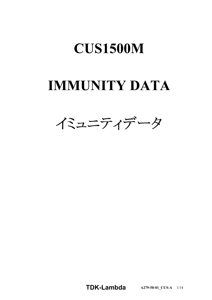# **CUS1500M**

# **IMMUNITY DATA**



**TDKLambda A2795801\_CUSA** 1/14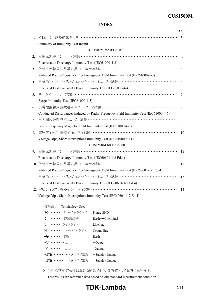# **CUS1500M**

### **INDEX**

|             |                                                                                      | <b>PAGE</b>              |
|-------------|--------------------------------------------------------------------------------------|--------------------------|
| $1_{\cdot}$ |                                                                                      | $\mathbf{3}$             |
|             | Summary of Immunity Test Result                                                      |                          |
|             |                                                                                      |                          |
| 2.          |                                                                                      | $\overline{\mathcal{A}}$ |
|             | Electrostatic Discharge Immunity Test (IEC61000-4-2)                                 |                          |
| 3.          | 放射性無線周波数電磁界イミュニティ試験 ………………………………………………                                               | 5                        |
|             | Radiated Radio-Frequency Electromagnetic Field Immunity Test (IEC61000-4-3)          |                          |
| 4.          | 電気的ファーストトランジェントバーストイミュニティ試験 …………………………………                                            | 6                        |
|             | Electrical Fast Transient / Burst Immunity Test (IEC61000-4-4)                       |                          |
| 5.          | サージイミュニティ試験 ……………………………………………………………                                                  | 7                        |
|             | Surge Immunity Test (IEC61000-4-5)                                                   |                          |
| 6.          | 伝導性無線周波数電磁界イミュニティ試験 ………………………………………………                                               | 8                        |
|             | Conducted Disturbances Induced by Radio-Frequency Field Immunity Test (IEC61000-4-6) |                          |
| 7.          |                                                                                      | 9                        |
|             | Power Frequency Magnetic Field Immunity Test (IEC61000-4-8)                          |                          |
| 8.          |                                                                                      | 10                       |
|             | Voltage Dips, Short Interruptions Immunity Test (IEC61000-4-11)                      |                          |
|             |                                                                                      |                          |
| 9.          |                                                                                      | 11                       |
|             | Electrostatic Discharge Immunity Test (IEC60601-1-2 Ed.4)                            |                          |
|             | 10. 放射性無線周波数電磁界イミュニティ試験 ………………………………………………                                           | 12                       |
|             | Radiated Radio-Frequency Electromagnetic Field Immunity Test (IEC60601-1-2 Ed.4)     |                          |
|             | 11. 電気的ファーストトランジェントバーストイミュニティ試験 …………………………………                                        | 13                       |
|             | Electrical Fast Transient / Burst Immunity Test (IEC60601-1-2 Ed.4)                  |                          |
|             | 12. 電圧ディップ、瞬停イミュニティ試験 ……………………………………………………                                           | 14                       |
|             | Voltage Dips, Short Interruptions Immunity Test (IEC60601-1-2 Ed.4)                  |                          |

| 使用記号 Terminology Used     |                                 |  |  |  |
|---------------------------|---------------------------------|--|--|--|
| FG …… フレームグラウンド           | Frame GND                       |  |  |  |
| <del>」</del> ・・・・・・ 接地用端子 | Earth $($ $\equiv$ $)$ terminal |  |  |  |
| L …… ライブライン               | Live line                       |  |  |  |
| N …… ニュートラルライン            | Neutral line                    |  |  |  |
| 777 …… 接地                 | Earth                           |  |  |  |
| +V …… +出力                 | $+$ Output                      |  |  |  |
| -V …… - 出力                | - Output                        |  |  |  |
| +STB ・・・・・・ + スタンバイ出力     | $+$ Standby Output              |  |  |  |
| - STB ・・・・・・ - スタンバイ出力    | - Standby Output                |  |  |  |

※ 当社標準測定条件における結果であり、参考値としてお考え願います。

Test results are reference data based on our standard measurement condition.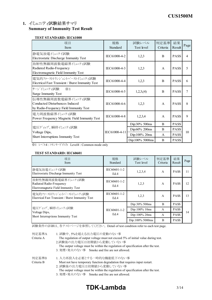# 1. イミュニティ試験結果サマリ **Summary of Immunity Test Result**

#### **TEST STANDARD: IEC61000**

| 項目<br>Item                                                                                      | 規格<br>Standard | 試験レベル<br>Test level | 判定基準<br>Criteria | 結果<br>Result | Page |  |
|-------------------------------------------------------------------------------------------------|----------------|---------------------|------------------|--------------|------|--|
| 静電気放電イミュニテイ試験<br>Electrostatic Discharge Immunity Test                                          | IEC61000-4-2   | 1,2,3               | $\overline{B}$   | <b>PASS</b>  | 4    |  |
| 放射性無線周波数電磁界イミュニティ試験<br>Radiated Radio-Frequency<br>Electromagnetic Field Immunity Test          | IEC61000-4-3   | 1,2,3               | $\mathsf{A}$     | <b>PASS</b>  | 5    |  |
| 電気的ファーストトランジェントバーストイミュニティ試験<br>Electrical Fast Transient / Burst Immunity Test                  | IEC61000-4-4   | 1,2,3               | <sub>B</sub>     | <b>PASS</b>  | 6    |  |
| サージイミュニティ試験<br>$\cdot$ 1<br>Surge Immunity Test                                                 | IEC61000-4-5   | 1,2,3, (4)          | B                | <b>PASS</b>  | 7    |  |
| 伝導性無線周波数電磁界イミュニティ試験<br>Conducted Disturbances Induced<br>by Radio-Frequency Field Immunity Test | IEC61000-4-6   | 1,2,3               | $\mathsf{A}$     | <b>PASS</b>  | 8    |  |
| 電力周波数磁界ペュニティ試験<br>Power Frequency Magnetic Field Immunity Test                                  | IEC61000-4-8   | 1,2,3,4             | $\mathsf{A}$     | <b>PASS</b>  | 9    |  |
|                                                                                                 |                | Dip:30% 500ms       | B                | <b>PASS</b>  |      |  |
| 電圧ディップ、瞬停イミュニティ試験<br>Voltage Dips,                                                              | IEC61000-4-11  | Dip:60% 200ms       | B                | <b>PASS</b>  | 10   |  |
| Short Interruptions Immunity Test                                                               |                | Dip:100% 20ms       | A                | <b>PASS</b>  |      |  |
| $\rightarrow$ $\rightarrow$ $\rightarrow$                                                       |                | Dip:100% 5000ms     | B                | <b>PASS</b>  |      |  |

※1 レベル4 : コモンモードのみ Level4 : Common mode only

#### **TEST STANDARD: IEC60601**

| 項目<br>Item                                                                             | 規格<br>Standard                | 試験レベル<br>Test level | 判定基準<br>Criteria | 結果<br>Result | Page |
|----------------------------------------------------------------------------------------|-------------------------------|---------------------|------------------|--------------|------|
| 静電気放電イミュニテイ試験<br>Electrostatic Discharge Immunity Test                                 | IEC60601-1-2<br>Ed.4          | 1,2,3,4             | A                | <b>PASS</b>  | 11   |
| 放射性無線周波数電磁界イミュニティ試験<br>Radiated Radio-Frequency<br>Electromagnetic Field Immunity Test | IEC60601-1-2<br>Ed.4          | 1,2,3               | A                | <b>PASS</b>  | 12   |
| 電気的ファーストランジェントバーストイミュニティ試験<br>Electrical Fast Transient / Burst Immunity Test          | IEC60601-1-2<br>1,2,3<br>Ed.4 |                     | $\mathsf{A}$     | <b>PASS</b>  | 13   |
|                                                                                        |                               | Dip:30% 500ms       | B                | <b>PASS</b>  |      |
| 電圧ディップ、瞬停イシェティ試験<br>Voltage Dips,                                                      | IEC60601-1-2<br>Ed.4          | Dip:100% 10ms       | $\mathbf{A}$     | <b>PASS</b>  | 14   |
| Short Interruptions Immunity Test                                                      |                               | Dip:100% 20ms       | A                | <b>PASS</b>  |      |
|                                                                                        |                               | Dip:100% 5000ms     | B                | <b>PASS</b>  |      |

試験条件の詳細は、各テストページを参照してください。 Detail of test condition refer to each test page.

| 判定基準A      | 1. 試験中、5%を超える出力電圧の変動のない事                                                                                      |
|------------|---------------------------------------------------------------------------------------------------------------|
| Criteria A | The regulation of output voltage must not exceed 5% of initial value during test.<br>2.試験後の出力電圧は初期値から変動していない事 |
|            | The output voltage must be within the regulation of specification after the test.                             |
|            | 3. 発煙・発火のない事 Smoke and fire are not allowed.                                                                  |
| 判定基準B      | 1. 入力再投入を必要とする一時的な機能低下のない事                                                                                    |
| Criteria B | Must not have temporary function degradation that requires input restart.                                     |
|            | 2. 試験後の出力電圧は初期値から変動していない事                                                                                     |
|            | The output voltage must be within the regulation of specification after the test.                             |
|            | 3. 発煙・発火のない事 Smoke and fire are not allowed.                                                                  |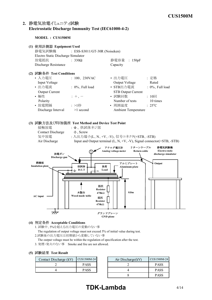# 2. 静電気放電イミュニティ試験 **Electrostatic Discharge Immunity Test (IEC6100042)**

**MODEL : CUS1500M**



1. 試験中、5%を超える出力電圧の変動のない事

The regulation of output voltage must not exceed 5% of initial value during test.

2.試験後の出力電圧は初期値から変動していない事

The output voltage must be within the regulation of specification after the test.

3. 発煙・発火のない事 Smoke and fire are not allowed.

#### **(5) Test Result**

| Contact Discharge (kV) | CUS1500M-24 | Air Discharge(kV) |
|------------------------|-------------|-------------------|
|                        | <b>PASS</b> |                   |
|                        | <b>PASS</b> |                   |

| CUS1500M-24 | Air Discharge(kV) | CUS1500M-24 |
|-------------|-------------------|-------------|
| <b>PASS</b> |                   | <b>PASS</b> |
| <b>PASS</b> |                   | <b>PASS</b> |
|             |                   | <b>PASS</b> |

# **TDK-Lambda** 4/14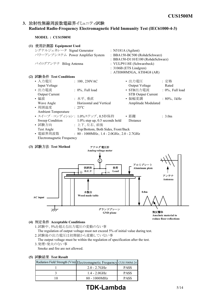## 3. 放射性無線周波数電磁界イミュニティ試験 **Radiated RadioFrequency Electromagnetic Field Immunity Test (IEC6100043)**

**MODEL : CUS1500M**



#### **(4) Acceptable Conditions**

1.試験中、5%を超える出力電圧の変動のない事 The regulation of output voltage must not exceed 5% of initial value during test. 2.試験後の出力電圧は初期値から変動していない事

The output voltage must be within the regulation of specification after the test. 3.発煙・発火のない事

Smoke and fire are not allowed.

#### **(5) Test Result**

| Radiation Field Strength (V/m) Electromagnetic Frequency CUS1500M-24 |             |
|----------------------------------------------------------------------|-------------|
| $2.0 - 2.7$ GHz                                                      | <b>PASS</b> |
| $1.4 - 2.0$ GHz                                                      | <b>PASS</b> |
| $80 - 1000$ MHz                                                      | <b>PASS</b> |

# **TDK-Lambda** 5/14

**Anechoic material to reduce floor reflections**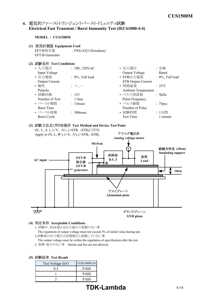# 4. 電気的ファーストトランジェントバーストイミュニティ試験 **Electrical Fast Transient / Burst Immunity Test (IEC6100044)**

#### **MODEL : CUS1500M**

- **(1) Equipment Used** EFT/B発生器 : FNSAX3 (Noiseken) EFT/B Generator
- **(2) Test Conditions**

| • 入力電圧                | : $100, 230$ VAC    | • 出力電圧                     | : 定格                 |
|-----------------------|---------------------|----------------------------|----------------------|
| Input Voltage         |                     | Output Voltage             | Rated                |
| • 出力電流                | $: 0\%$ , Full load | • STB出力電流                  | $: 0\%$ , Full load  |
| <b>Output Current</b> |                     | <b>STB Output Current</b>  |                      |
| • 極性                  | $+$ , $-$           | • 周囲温度                     | $: 25^{\circ}C$      |
| Polarity              |                     | <b>Ambient Temperature</b> |                      |
| • 試験回数                | $: 1 \square$       | • パルス周波数                   | : 5kHz               |
| Number of Test        | 1 time              | Pulse Frequency            |                      |
| • バースト期間              | $: 15$ msec         | • パルス個数                    | : 75 <sub>pres</sub> |
| <b>Burst Time</b>     |                     | Number of Pulse            |                      |
| • バースト周期              | $: 300$ msec        | • 試験時間                     | : 1分間                |
| <b>Burst Cycle</b>    |                     | <b>Test Time</b>           | 1 minute             |
|                       |                     |                            |                      |

**(3) Test Method and Device Test Point** (N、L、 $\neq$ )、(+V、V)、(+STB、-STB)に印加



#### **(4) Acceptable Conditions**

1. 試験中、5%を超える出力電圧の変動のない事

The regulation of output voltage must not exceed 5% of initial value during test. 2.試験後の出力電圧は初期値から変動していない事

- The output voltage must be within the regulation of specification after the test.
- 3. 発煙・発火のない事 Smoke and fire are not allowed.

| Test Voltage (kV) | CUS1500M-24 |
|-------------------|-------------|
| 05                | <b>PASS</b> |
|                   | <b>PASS</b> |
|                   | <b>PASS</b> |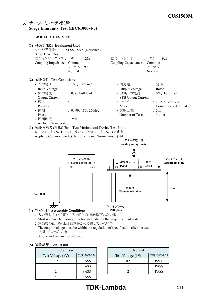# **5.** サージイミュニティ試験 **Surge Immunity Test (IEC6100045)**

#### **MODEL : CUS1500M**



2.試験後の出力電圧は初期値から変動していない事

The output voltage must be within the regulation of specification after the test. 3.発煙・発火のない事

Smoke and fire are not allowed.

#### **(5) Test Result**

| Common            |             | Normal            |
|-------------------|-------------|-------------------|
| Test Voltage (kV) | CUS1500M-24 | Test Voltage (kV) |
| 0.5               | <b>PASS</b> | 0.5               |
|                   | <b>PASS</b> |                   |
|                   | <b>PASS</b> |                   |
|                   | <b>PASS</b> |                   |

|             | Normal            |             |  |
|-------------|-------------------|-------------|--|
| CUS1500M-24 | Test Voltage (kV) | CUS1500M-24 |  |
| <b>PASS</b> | 0.5               | <b>PASS</b> |  |
| PASS        |                   | <b>PASS</b> |  |
| <b>PASS</b> |                   | <b>PASS</b> |  |
|             |                   |             |  |

# **TDK-Lambda** 7/14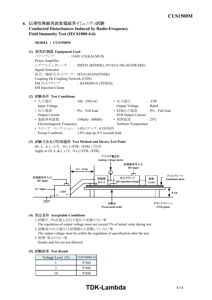# 6. 伝導性無線周波数電磁界イミュニティ試験 **Conducted Disturbances Induced by RadioFrequency** Field Immunity Test (IEC61000-4-6)

#### **MODEL : CUS1500M**

**(1) Equipment Used**

パワーアンプ : 116FC-CE(KALMUS) Power Amplifier シグナルジェネレータ : SMY01 (ROHDE), N5181A-506 (SCHWARZ) Signal Generator 結合/減結合ネットワーク : M316 (SCHAFFNER) Coupling De-Coupling Network (CDN) EM 注入クランプ : KEMZ801A (TESEQ) EM Injection Clamp

#### **(2) Test Conditions**

| • 入力電圧                    | : $100, 230$ VAC                | • 出力電圧                     | : 定格                       |
|---------------------------|---------------------------------|----------------------------|----------------------------|
| Input Voltage             |                                 | Output Voltage             | Rated                      |
| • 出力電流                    | $: 0\%$ , Full load             | • STB出力電流                  | $\therefore$ 0%, Full load |
| <b>Output Current</b>     |                                 | <b>STB Output Current</b>  |                            |
| • 電磁界周波数                  | $: 150kHz - 80MHz$              | • 周囲温度                     | $: 25^{\circ}C$            |
| Electromagnetic Frequency |                                 | <b>Ambient Temperature</b> |                            |
|                           | • スイープ・コンディション: 1.0%ステップ、0.5秒保持 |                            |                            |

Sweep Condition 1.0% step up, 0.5 seconds hold

#### **(3) Test Method and Device Test Point**

(N、L、÷)、(+V、-V)、(+STB、-STB)に印加 Apply to  $(N, L, \frac{1}{\epsilon})$ ,  $(+V, -V)$ ,  $(+STB, -STB)$ .



#### **(4) Acceptable Conditions**

- 1.試験中、5%を超える出力電圧の変動のない事 The regulation of output voltage must not exceed 5% of initial value during test.
- 2.試験後の出力電圧は初期値から変動していない事 The output voltage must be within the regulation of specification after the test.
- 3.発煙・発火のない事
- Smoke and fire are not allowed.

#### **(5) Test Result**

| Voltage Level (V) | CUS1500M-24 |
|-------------------|-------------|
|                   | <b>PASS</b> |
|                   | <b>PASS</b> |
|                   | <b>PASS</b> |

# **TDK-Lambda** 8/14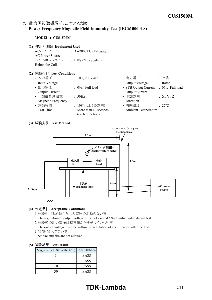# 7. 電力周波数磁界イミュニティ試験 **Power Frequency Magnetic Field Immunity Test (IEC6100048)**

**MODEL : CUS1500M**

- **(1) Equipment Used**
	- ACパワーソース : AA2000XG (Takasago) AC Power Source ヘルムホルツコイル : HHS5215 (Spulen) Helmholtz Coil

## **(2) Test Conditions**

| $\mathbb{P} \mathbb{W} \times \mathbb{W} \cap \mathbb{W}$ is the content of $\mathbb{W}$ |                                          |                            |                     |
|------------------------------------------------------------------------------------------|------------------------------------------|----------------------------|---------------------|
| • 入力電圧                                                                                   | $: 100, 230$ VAC                         | • 出力電圧                     | : 定格                |
| Input Voltage                                                                            |                                          | Output Voltage             | Rated               |
| • 出力電流                                                                                   | $\therefore$ 0%, Full load               | • STB Output Current       | $: 0\%$ , Full load |
| <b>Output Current</b>                                                                    |                                          | <b>Output Current</b>      |                     |
| • 印加磁界周波数                                                                                | : 50Hz                                   | • 印加方向                     | :X, Y, Z            |
| Magnetic Frequency                                                                       |                                          | Direction                  |                     |
| • 試験時間                                                                                   | : 10秒以上(各方向)                             | • 周囲温度                     | $: 25^{\circ}C$     |
| Test Time                                                                                | More than 10 seconds<br>(each direction) | <b>Ambient Temperature</b> |                     |
|                                                                                          |                                          |                            |                     |

#### **(3) Test Method**



#### **(4) Acceptable Conditions**

- 1.試験中、5%を超える出力電圧の変動のない事
- The regulation of output voltage must not exceed 5% of initial value during test.
- 2.試験後の出力電圧は初期値から変動していない事

The output voltage must be within the regulation of specification after the test. 3.発煙・発火のない事

Smoke and fire are not allowed.

| Magnetic Field Strength (A/m)   CUS1500M-24 |             |
|---------------------------------------------|-------------|
|                                             | <b>PASS</b> |
|                                             | <b>PASS</b> |
| 10                                          | <b>PASS</b> |
|                                             | <b>PASS</b> |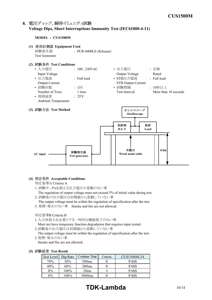# 8. 電圧ディップ、瞬停イミュニティ試験 **Voltage Dips, Short Interruptions Immunity Test (IEC61000411)**

#### **MODEL : CUS1500M**

**(1) Equipment Used** 試験発生器 : PCR-6000LE (Kikusui) Test Generator

#### **(2) Test Conditions**

| • 入力電圧                | $: 100, 230$ VAC | • 出力電圧                    | : 定格                 |
|-----------------------|------------------|---------------------------|----------------------|
| Input Voltage         |                  | Output Voltage            | Rated                |
| • 出力電流                | : Full load      | • STB出力電流                 | $:$ Full load        |
| <b>Output Current</b> |                  | <b>STB Output Current</b> |                      |
| • 試験回数                | $: 1 \square$    | • 試験間隔                    | : 10秒以上              |
| Number of Tests       | 1 time           | Test Interval             | More than 10 seconds |
| • 周囲温度                | $: 25^{\circ}C$  |                           |                      |
| Ambient Temperature   |                  |                           |                      |
|                       |                  |                           |                      |
| (3) 試験方法 Test Method  |                  | オシロスコープ                   |                      |
|                       |                  | Oscilloscope              |                      |
|                       |                  |                           |                      |



#### **(4) Acceptable Conditions**

判定基準A Criteria A

- 1. 試験中、5%を超える出力電圧の変動のない事
- The regulation of output voltage must not exceed 5% of initial value during test. 2. 試験後の出力電圧は初期値から変動していない事
- The output voltage must be within the regulation of specification after the test.
- 3. 発煙・発火のない事 Smoke and fire are not allowed.

判定基準B Criteria B

- 1.入力再投入を必要とする一時的な機能低下のない事
- Must not have temporary function degradation that requires input restart.
- 2.試験後の出力電圧は初期値から変動していない事

The output voltage must be within the regulation of specification after the test. 3.発煙・発火のない事

Smoke and fire are not allowed.

| 驶箱未 lest Kesuit |          |                    |          |             |
|-----------------|----------|--------------------|----------|-------------|
| Test Level      | Dip Rate | Continue Time      | Criteria | CUS1500M-24 |
| 70%             | 30%      | 500 <sub>ms</sub>  | В        | <b>PASS</b> |
| 40%             | 60%      | 200 <sub>ms</sub>  | B        | <b>PASS</b> |
| $0\%$           | 100%     | 20ms               | А        | <b>PASS</b> |
| $0\%$           | 100%     | 5000 <sub>ms</sub> | B        | <b>PASS</b> |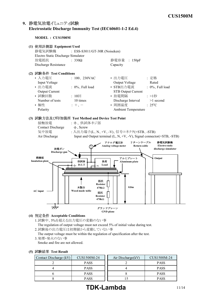# 9. 静電気放電イミュニティ試験 Electrostatic Discharge Immunity Test (IEC60601-1-2 Ed.4)

**MODEL : CUS1500M**

| (1) 使用計測器 Equipment Used           |                                                  |                                                                              |                     |
|------------------------------------|--------------------------------------------------|------------------------------------------------------------------------------|---------------------|
| 静電気試験機                             | : ESS-S3011/GT-30R (Noiseken)                    |                                                                              |                     |
| Electro Static Discharge Simulator |                                                  |                                                                              |                     |
| 放電抵抗                               | : $330\Omega$                                    | 静電容量 : 150pF                                                                 |                     |
| Discharge Resistance               |                                                  | Capacity                                                                     |                     |
| (2) 試験条件 Test Conditions           |                                                  |                                                                              |                     |
| • 入力電圧                             | $: 100, 230$ VAC                                 | • 出力電圧                                                                       | : 定格                |
| Input Voltage                      |                                                  | Output Voltage                                                               | Rated               |
| • 出力電流                             | $: 0\%$ , Full load                              | · STB出力電流                                                                    | $: 0\%$ , Full load |
| Output Current                     |                                                  | STB Output Current                                                           |                     |
| • 試験回数                             | : 10                                             | • 放電間隔                                                                       | : >1秒               |
| Number of tests                    | 10 times                                         | Discharge Interval                                                           | $>1$ second         |
| • 極性                               | $: +,-$                                          | • 周囲温度                                                                       | $: 25^{\circ}C$     |
| Polarity                           |                                                  | <b>Ambient Temperature</b>                                                   |                     |
|                                    |                                                  |                                                                              |                     |
|                                    | (3) 試験方法及び印加箇所 Test Method and Device Test Point |                                                                              |                     |
| 接触放電                               | : =、供試体ネジ部                                       |                                                                              |                     |
| <b>Contact Discharge</b>           |                                                  |                                                                              |                     |
|                                    | $\pm$ , Screw                                    |                                                                              |                     |
| 気中放電                               | : 入出力端子(L、N、+V、-V)、信号コネクタ(+STB、-STB)             |                                                                              |                     |
| Air Discharge                      |                                                  | Input and Output terminal $(L, N, +V, -V)$ , Signal connector $(+STB, -STB)$ |                     |
|                                    |                                                  | リターンケーブル<br>アナログ電圧計                                                          | 静電気試験機              |
|                                    |                                                  | Analog voltage meter<br>Return cable                                         | Electro static      |
| 放電ガン<br>Discharge gun              |                                                  |                                                                              | discharge simulator |
|                                    |                                                  |                                                                              |                     |
| 絶縁板<br><b>Insulation plate</b>     | 負荷                                               | アルミプレート                                                                      | Output              |
|                                    | 供試体<br>D.U.T<br>Load<br>FG.                      | Aluminum plate                                                               |                     |
|                                    |                                                  |                                                                              |                     |
|                                    |                                                  |                                                                              |                     |
|                                    |                                                  |                                                                              |                     |
|                                    | 抵抗                                               |                                                                              |                     |
|                                    | <b>Resistor</b><br>木製台<br>$470k\Omega$           | 0.8 <sub>m</sub>                                                             |                     |
| $AC$ input                         | Wood made table<br>抵抗                            |                                                                              |                     |
|                                    | <b>Resistor</b>                                  |                                                                              |                     |
|                                    | $470k\Omega$                                     |                                                                              |                     |
|                                    |                                                  | グランドプレーン                                                                     |                     |

- **(4) Acceptable Conditions**
	- 1.試験中、5%を超える出力電圧の変動のない事
	- The regulation of output voltage must not exceed 5% of initial value during test.
	- 2.試験後の出力電圧は初期値から変動していない事
	- The output voltage must be within the regulation of specification after the test. 3.発煙・発火のない事
	- Smoke and fire are not allowed.

| Contact Discharge (kV) | CUS1500M-24 | Air Discharge(kV) | CUS1500M-24 |
|------------------------|-------------|-------------------|-------------|
|                        | <b>PASS</b> |                   | <b>PASS</b> |
|                        | <b>PASS</b> |                   | <b>PASS</b> |
|                        | <b>PASS</b> |                   | <b>PASS</b> |
|                        | <b>PASS</b> |                   | <b>PASS</b> |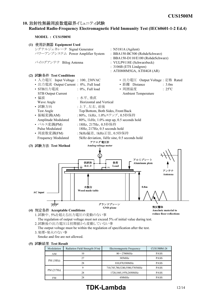### 10. 放射性無線周波数電磁界イミュニティ試験 Radiated Radio-Frequency Electromagnetic Field Immunity Test (IEC60601-1-2 Ed.4)



- 1.試験中、5%を超える出力電圧の変動のない事
	- The regulation of output voltage must not exceed 5% of initial value during test.
	- 2.試験後の出力電圧は初期値から変動していない事
	- The output voltage must be within the regulation of specification after the test.
	- 3.発煙・発火のない事
		- Smoke and fire are not allowed.

|  | (5) 試験結果 Test Result |  |  |
|--|----------------------|--|--|
|--|----------------------|--|--|

| Modulation | Radiation Field Strength (V/m) | Electromagnetic Frequency     | <b>CUS1500M-24</b> |
|------------|--------------------------------|-------------------------------|--------------------|
| AM         | 10                             | $80\sim$ 2700MHz              | <b>PASS</b>        |
|            | 27                             | 385MHz                        | <b>PASS</b>        |
| PM (18Hz)  | 28                             | 810,870,930MHz                | <b>PASS</b>        |
| PM(217Hz)  | 9                              | 710,745,780,5240,5500,5785MHz | <b>PASS</b>        |
|            | 28                             | 1720,1845,1970,2450MHz        | <b>PASS</b>        |
| FM         | 28                             | 450MHz                        | <b>PASS</b>        |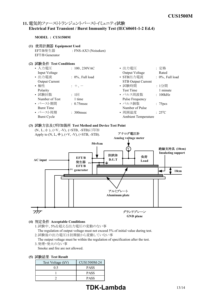# **11. Electrical Fast Transient / Burst Immunity Test (IEC60601-1-2 Ed.4)**

#### **MODEL : CUS1500M**

- **(1) Equipment Used** EFT/B発生器 : FNSAX3 (Noiseken) EFT/B Generator
- **(2) Test Conditions**

| ・入力電圧                 | $: 100, 230$ VAC    | • 出力電圧                     | : 定格                 |
|-----------------------|---------------------|----------------------------|----------------------|
| Input Voltage         |                     | Output Voltage             | Rated                |
| • 出力電流                | $: 0\%$ , Full load | • STB出力電流                  | $: 0\%$ , Full load  |
| <b>Output Current</b> |                     | <b>STB Output Current</b>  |                      |
| • 極性                  | $+$ , $-$           | • 試験時間                     | : 1分間                |
| Polarity              |                     | Test Time                  | 1 minute             |
| • 試験回数                | $: 1 \square$       | • パルス周波数                   | : 100kHz             |
| Number of Test        | 1 time              | Pulse Frequency            |                      |
| • バースト期間              | $: 0.75$ msec       | • パルス個数                    | : 75 <sub>pres</sub> |
| <b>Burst Time</b>     |                     | Number of Pulse            |                      |
| • バースト周期              | $: 300$ msec        | • 周囲温度                     | $: 25^{\circ}C$      |
| <b>Burst Cycle</b>    |                     | <b>Ambient Temperature</b> |                      |
|                       |                     |                            |                      |

**(3) Test Method and Device Test Point** (N、L、 $\neq$ )、(+V、V)、(+STB、-STB)に印加



**GND plane**

- **(4) Acceptable Conditions**
	- 1.試験中、5%を超える出力電圧の変動のない事 The regulation of output voltage must not exceed 5% of initial value during test. 2.試験後の出力電圧は初期値から変動していない事
	- The output voltage must be within the regulation of specification after the test. 3.発煙・発火のない事
		- Smoke and fire are not allowed.

#### **(5) Test Result**

| Test Voltage (kV) | CUS1500M-24 |
|-------------------|-------------|
| 0.5               | <b>PASS</b> |
|                   | <b>PASS</b> |
|                   | <b>PASS</b> |

# **TDK-Lambda** 13/14